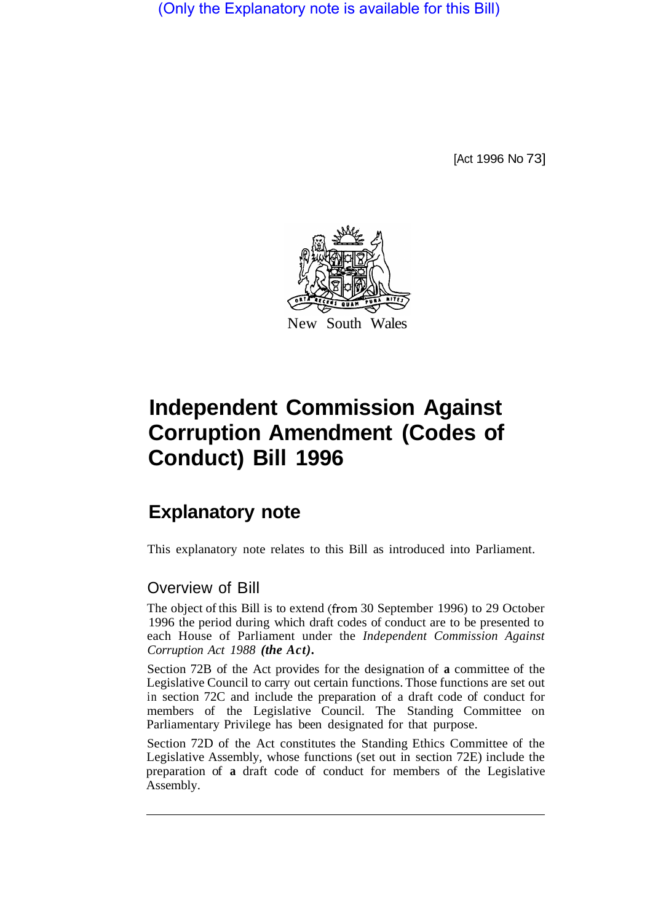(Only the Explanatory note is available for this Bill)

[Act 1996 No 73]



# **Independent Commission Against Corruption Amendment (Codes of Conduct) Bill 1996**

## **Explanatory note**

This explanatory note relates to this Bill as introduced into Parliament.

#### Overview of Bill

The object of this Bill is to extend (from 30 September 1996) to 29 October 1996 the period during which draft codes of conduct are to be presented to each House of Parliament under the *Independent Commission Against Corruption Act 1988 (the Act).* 

Section 72B of the Act provides for the designation of **a** committee of the Legislative Council to carry out certain functions. Those functions are set out in section 72C and include the preparation of a draft code of conduct for members of the Legislative Council. The Standing Committee on Parliamentary Privilege has been designated for that purpose.

Section 72D of the Act constitutes the Standing Ethics Committee of the Legislative Assembly, whose functions (set out in section 72E) include the preparation of **a** draft code of conduct for members of the Legislative Assembly.